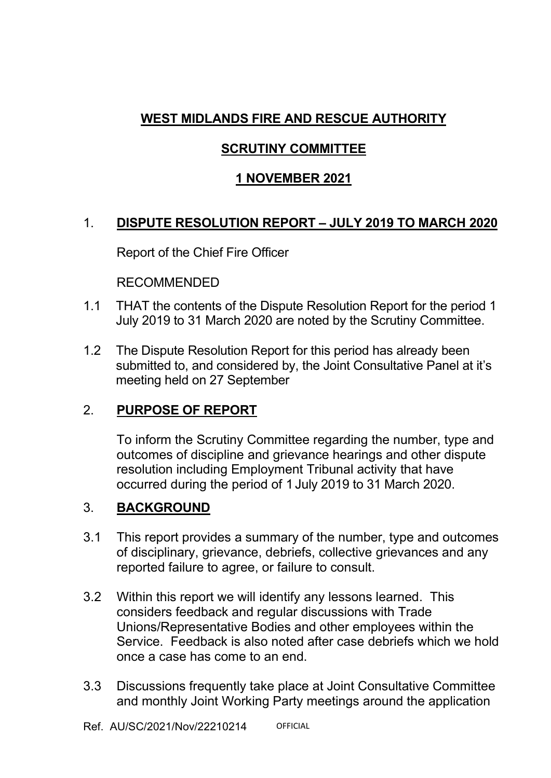# **WEST MIDLANDS FIRE AND RESCUE AUTHORITY**

## **SCRUTINY COMMITTEE**

# **1 NOVEMBER 2021**

# 1. **DISPUTE RESOLUTION REPORT – JULY 2019 TO MARCH 2020**

Report of the Chief Fire Officer

RECOMMENDED

- 1.1 THAT the contents of the Dispute Resolution Report for the period 1 July 2019 to 31 March 2020 are noted by the Scrutiny Committee.
- 1.2 The Dispute Resolution Report for this period has already been submitted to, and considered by, the Joint Consultative Panel at it's meeting held on 27 September

# 2. **PURPOSE OF REPORT**

 To inform the Scrutiny Committee regarding the number, type and outcomes of discipline and grievance hearings and other dispute resolution including Employment Tribunal activity that have occurred during the period of 1 July 2019 to 31 March 2020.

# 3. **BACKGROUND**

- 3.1 This report provides a summary of the number, type and outcomes of disciplinary, grievance, debriefs, collective grievances and any reported failure to agree, or failure to consult.
- 3.2 Within this report we will identify any lessons learned. This considers feedback and regular discussions with Trade Unions/Representative Bodies and other employees within the Service. Feedback is also noted after case debriefs which we hold once a case has come to an end.
- 3.3 Discussions frequently take place at Joint Consultative Committee and monthly Joint Working Party meetings around the application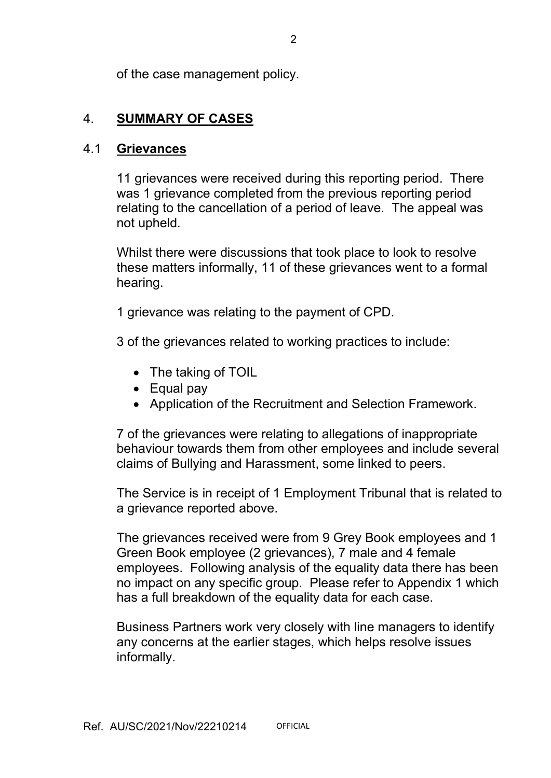of the case management policy.

## 4. **SUMMARY OF CASES**

#### 4.1 **Grievances**

 11 grievances were received during this reporting period. There was 1 grievance completed from the previous reporting period relating to the cancellation of a period of leave. The appeal was not upheld.

 Whilst there were discussions that took place to look to resolve these matters informally, 11 of these grievances went to a formal hearing.

1 grievance was relating to the payment of CPD.

3 of the grievances related to working practices to include:

- The taking of TOIL
- Equal pay
- Application of the Recruitment and Selection Framework.

7 of the grievances were relating to allegations of inappropriate behaviour towards them from other employees and include several claims of Bullying and Harassment, some linked to peers.

The Service is in receipt of 1 Employment Tribunal that is related to a grievance reported above.

The grievances received were from 9 Grey Book employees and 1 Green Book employee (2 grievances), 7 male and 4 female employees. Following analysis of the equality data there has been no impact on any specific group. Please refer to Appendix 1 which has a full breakdown of the equality data for each case.

 Business Partners work very closely with line managers to identify any concerns at the earlier stages, which helps resolve issues informally.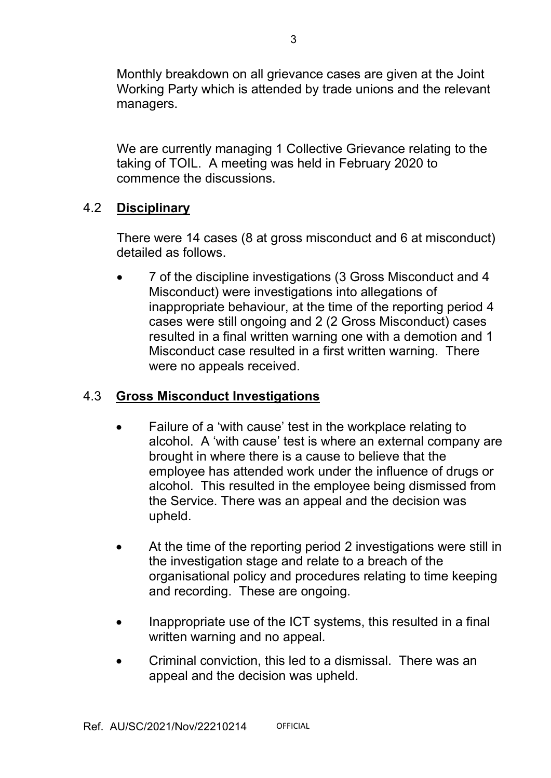Monthly breakdown on all grievance cases are given at the Joint Working Party which is attended by trade unions and the relevant managers.

We are currently managing 1 Collective Grievance relating to the taking of TOIL. A meeting was held in February 2020 to commence the discussions.

## 4.2 **Disciplinary**

 There were 14 cases (8 at gross misconduct and 6 at misconduct) detailed as follows.

• 7 of the discipline investigations (3 Gross Misconduct and 4 Misconduct) were investigations into allegations of inappropriate behaviour, at the time of the reporting period 4 cases were still ongoing and 2 (2 Gross Misconduct) cases resulted in a final written warning one with a demotion and 1 Misconduct case resulted in a first written warning. There were no appeals received.

## 4.3 **Gross Misconduct Investigations**

- Failure of a 'with cause' test in the workplace relating to alcohol. A 'with cause' test is where an external company are brought in where there is a cause to believe that the employee has attended work under the influence of drugs or alcohol. This resulted in the employee being dismissed from the Service. There was an appeal and the decision was upheld.
- At the time of the reporting period 2 investigations were still in the investigation stage and relate to a breach of the organisational policy and procedures relating to time keeping and recording. These are ongoing.
- Inappropriate use of the ICT systems, this resulted in a final written warning and no appeal.
- Criminal conviction, this led to a dismissal. There was an appeal and the decision was upheld.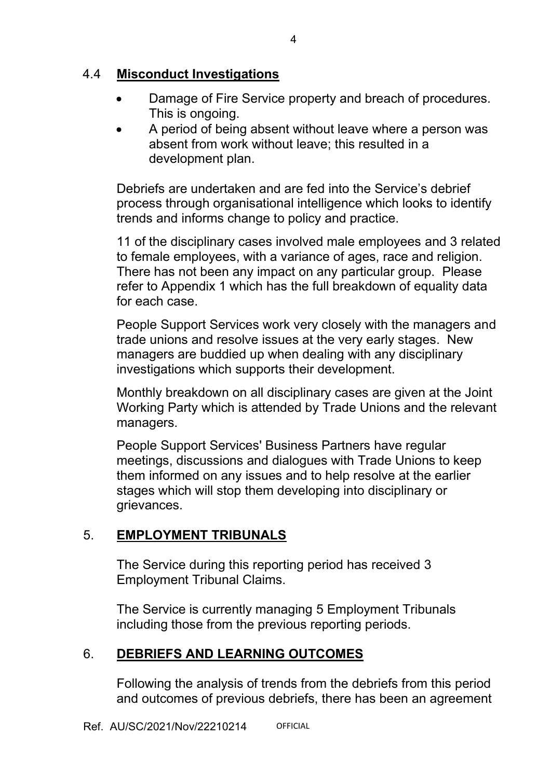### 4.4 **Misconduct Investigations**

- Damage of Fire Service property and breach of procedures. This is ongoing.
- A period of being absent without leave where a person was absent from work without leave; this resulted in a development plan.

Debriefs are undertaken and are fed into the Service's debrief process through organisational intelligence which looks to identify trends and informs change to policy and practice.

11 of the disciplinary cases involved male employees and 3 related to female employees, with a variance of ages, race and religion. There has not been any impact on any particular group. Please refer to Appendix 1 which has the full breakdown of equality data for each case.

 People Support Services work very closely with the managers and trade unions and resolve issues at the very early stages. New managers are buddied up when dealing with any disciplinary investigations which supports their development.

 Monthly breakdown on all disciplinary cases are given at the Joint Working Party which is attended by Trade Unions and the relevant managers.

 People Support Services' Business Partners have regular meetings, discussions and dialogues with Trade Unions to keep them informed on any issues and to help resolve at the earlier stages which will stop them developing into disciplinary or grievances.

## 5. **EMPLOYMENT TRIBUNALS**

 The Service during this reporting period has received 3 Employment Tribunal Claims.

 The Service is currently managing 5 Employment Tribunals including those from the previous reporting periods.

### 6. **DEBRIEFS AND LEARNING OUTCOMES**

Following the analysis of trends from the debriefs from this period and outcomes of previous debriefs, there has been an agreement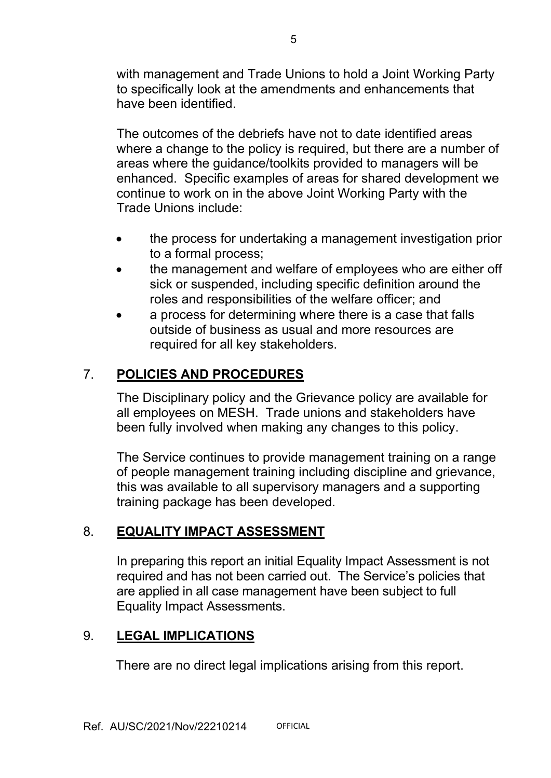with management and Trade Unions to hold a Joint Working Party to specifically look at the amendments and enhancements that have been identified.

 The outcomes of the debriefs have not to date identified areas where a change to the policy is required, but there are a number of areas where the guidance/toolkits provided to managers will be enhanced. Specific examples of areas for shared development we continue to work on in the above Joint Working Party with the Trade Unions include:

- the process for undertaking a management investigation prior to a formal process;
- the management and welfare of employees who are either off sick or suspended, including specific definition around the roles and responsibilities of the welfare officer; and
- a process for determining where there is a case that falls outside of business as usual and more resources are required for all key stakeholders.

# 7. **POLICIES AND PROCEDURES**

 The Disciplinary policy and the Grievance policy are available for all employees on MESH. Trade unions and stakeholders have been fully involved when making any changes to this policy.

 The Service continues to provide management training on a range of people management training including discipline and grievance, this was available to all supervisory managers and a supporting training package has been developed.

# 8. **EQUALITY IMPACT ASSESSMENT**

 In preparing this report an initial Equality Impact Assessment is not required and has not been carried out. The Service's policies that are applied in all case management have been subject to full Equality Impact Assessments.

# 9. **LEGAL IMPLICATIONS**

There are no direct legal implications arising from this report.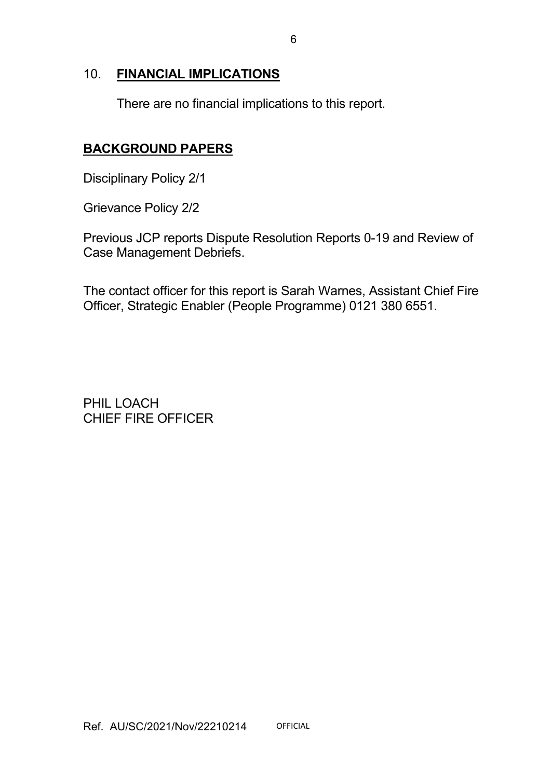#### 10. **FINANCIAL IMPLICATIONS**

There are no financial implications to this report.

## **BACKGROUND PAPERS**

Disciplinary Policy 2/1

Grievance Policy 2/2

Previous JCP reports Dispute Resolution Reports 0-19 and Review of Case Management Debriefs.

The contact officer for this report is Sarah Warnes, Assistant Chief Fire Officer, Strategic Enabler (People Programme) 0121 380 6551.

PHIL LOACH CHIEF FIRE OFFICER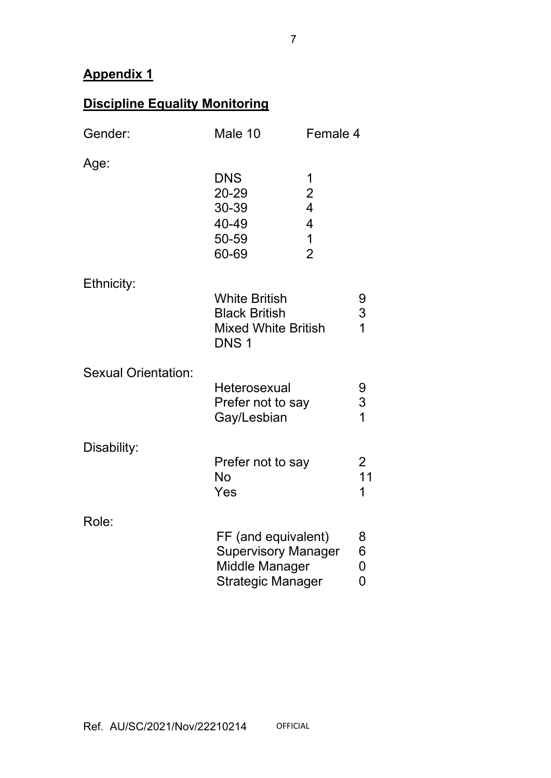# **Appendix 1**

# **Discipline Equality Monitoring**

| Gender:                                                                        | Male 10                                                                                        |                                                                                 | Female 4 |  |  |  |
|--------------------------------------------------------------------------------|------------------------------------------------------------------------------------------------|---------------------------------------------------------------------------------|----------|--|--|--|
| Age:                                                                           | <b>DNS</b><br>20-29<br>30-39<br>40-49<br>50-59<br>60-69                                        | 1<br>$\frac{2}{4}$<br>$\overline{\mathcal{A}}$<br>$\mathbf 1$<br>$\overline{2}$ |          |  |  |  |
| Ethnicity:                                                                     | <b>White British</b><br><b>Black British</b><br><b>Mixed White British</b><br>DNS <sub>1</sub> |                                                                                 |          |  |  |  |
| <b>Sexual Orientation:</b><br>Heterosexual<br>Prefer not to say<br>Gay/Lesbian |                                                                                                |                                                                                 |          |  |  |  |
| Disability:                                                                    | Prefer not to say<br><b>No</b><br>Yes                                                          |                                                                                 |          |  |  |  |
| Role:                                                                          | FF (and equivalent)<br><b>Supervisory Manager</b><br>Middle Manager<br>Strategic Manager       | 8<br>6<br>$\pmb{0}$<br>$\overline{0}$                                           |          |  |  |  |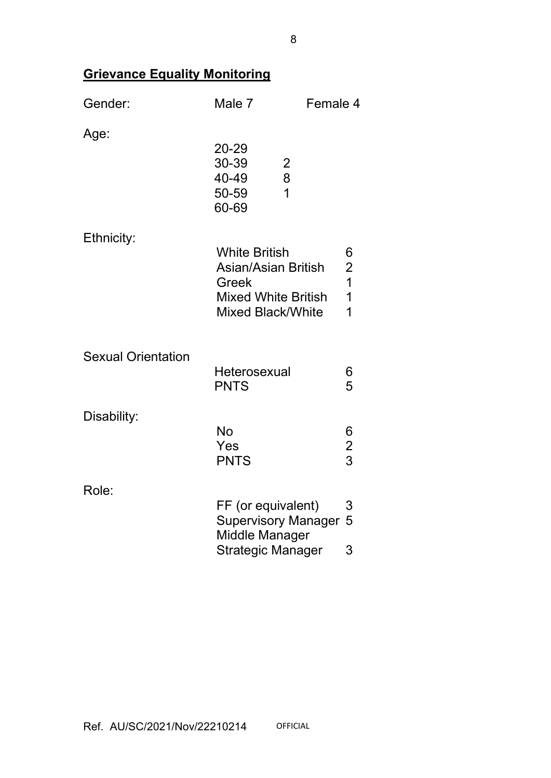# **Grievance Equality Monitoring**

| Gender:                   | Male 7                                                                                                         | Female 4           |  |  |
|---------------------------|----------------------------------------------------------------------------------------------------------------|--------------------|--|--|
| Age:                      | 20-29<br>30-39<br>$\frac{2}{8}$<br>40-49<br>50-59<br>60-69                                                     |                    |  |  |
| Ethnicity:                | <b>White British</b><br>Asian/Asian British<br>Greek<br><b>Mixed White British</b><br><b>Mixed Black/White</b> |                    |  |  |
| <b>Sexual Orientation</b> | Heterosexual<br><b>PNTS</b>                                                                                    | 6<br>5             |  |  |
| Disability:               | <b>No</b><br>Yes<br><b>PNTS</b>                                                                                | 6<br>$\frac{2}{3}$ |  |  |
| Role:                     | FF (or equivalent)<br><b>Supervisory Manager</b><br>Middle Manager<br><b>Strategic Manager</b>                 | 3<br>5<br>3        |  |  |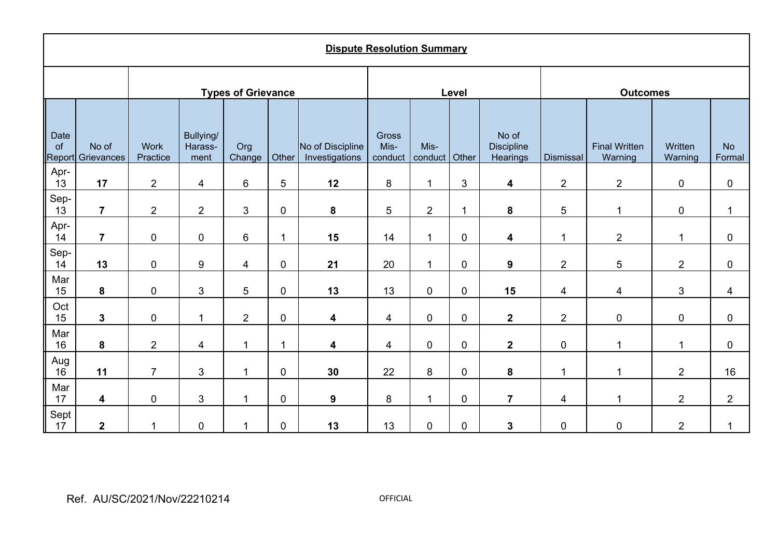| <b>Dispute Resolution Summary</b> |                     |                         |                              |                         |             |                                    |                          |                       |                         |                                        |                          |                                 |                    |                     |
|-----------------------------------|---------------------|-------------------------|------------------------------|-------------------------|-------------|------------------------------------|--------------------------|-----------------------|-------------------------|----------------------------------------|--------------------------|---------------------------------|--------------------|---------------------|
| <b>Types of Grievance</b>         |                     |                         |                              |                         |             | Level                              |                          |                       |                         | <b>Outcomes</b>                        |                          |                                 |                    |                     |
| Date<br>of<br>Report              | No of<br>Grievances | <b>Work</b><br>Practice | Bullying/<br>Harass-<br>ment | Org<br>Change           | Other       | No of Discipline<br>Investigations | Gross<br>Mis-<br>conduct | Mis-<br>conduct Other |                         | No of<br><b>Discipline</b><br>Hearings | Dismissal                | <b>Final Written</b><br>Warning | Written<br>Warning | <b>No</b><br>Formal |
| Apr-<br>13                        | 17                  | $\overline{2}$          | 4                            | 6                       | 5           | 12                                 | 8                        | 1                     | $\mathfrak{B}$          | 4                                      | $\overline{2}$           | $\overline{2}$                  | $\pmb{0}$          | $\boldsymbol{0}$    |
| Sep-<br>13                        | $\overline{7}$      | $\overline{2}$          | $\overline{2}$               | 3                       | $\mathbf 0$ | ${\bf 8}$                          | $\overline{5}$           | $\overline{2}$        | $\overline{\mathbf{1}}$ | ${\bf 8}$                              | $\sqrt{5}$               | 1                               | $\pmb{0}$          | 1                   |
| Apr-<br>14                        | $\overline{7}$      | $\pmb{0}$               | $\pmb{0}$                    | 6                       | $\mathbf 1$ | 15                                 | 14                       | $\mathbf{1}$          | $\pmb{0}$               | 4                                      | $\overline{1}$           | $\overline{2}$                  | $\mathbf 1$        | $\pmb{0}$           |
| Sep-<br>14                        | 13                  | $\pmb{0}$               | $\boldsymbol{9}$             | $\overline{\mathbf{4}}$ | $\mathbf 0$ | 21                                 | 20                       | $\mathbf 1$           | $\mathbf 0$             | $\boldsymbol{9}$                       | $\overline{2}$           | 5                               | $\overline{2}$     | $\pmb{0}$           |
| Mar<br>15                         | $\pmb{8}$           | $\mathbf 0$             | $\mathfrak{S}$               | 5                       | $\mathbf 0$ | 13                                 | 13                       | $\pmb{0}$             | $\pmb{0}$               | 15                                     | $\overline{4}$           | 4                               | $\mathfrak{S}$     | 4                   |
| Oct<br>15                         | $\mathbf 3$         | $\pmb{0}$               | 1                            | $\overline{2}$          | $\pmb{0}$   | 4                                  | $\overline{\mathbf{4}}$  | $\mathbf 0$           | $\pmb{0}$               | $\mathbf 2$                            | $\overline{2}$           | $\pmb{0}$                       | $\pmb{0}$          | $\pmb{0}$           |
| Mar<br>16                         | ${\bf 8}$           | $\overline{2}$          | 4                            | 1                       | 1           | 4                                  | 4                        | $\pmb{0}$             | $\pmb{0}$               | $\mathbf{2}$                           | $\pmb{0}$                | 1                               | $\mathbf 1$        | $\mathbf 0$         |
| Aug<br>16                         | 11                  | $\overline{7}$          | 3                            | $\mathbf 1$             | $\mathbf 0$ | 30                                 | 22                       | 8                     | $\mathbf 0$             | ${\bf 8}$                              | 1                        | 1                               | $\overline{2}$     | 16                  |
| Mar<br>17                         | 4                   | $\pmb{0}$               | 3                            | $\mathbf 1$             | $\pmb{0}$   | $\boldsymbol{9}$                   | 8                        | $\mathbf 1$           | $\pmb{0}$               | $\overline{7}$                         | $\overline{\mathcal{A}}$ | 1                               | $\overline{2}$     | $\overline{2}$      |
| Sept<br>17                        | $\boldsymbol{2}$    | 1                       | $\mathbf 0$                  | 1                       | 0           | 13                                 | 13                       | $\mathbf 0$           | $\pmb{0}$               | 3                                      | 0                        | $\pmb{0}$                       | $\overline{2}$     | $\mathbf{1}$        |